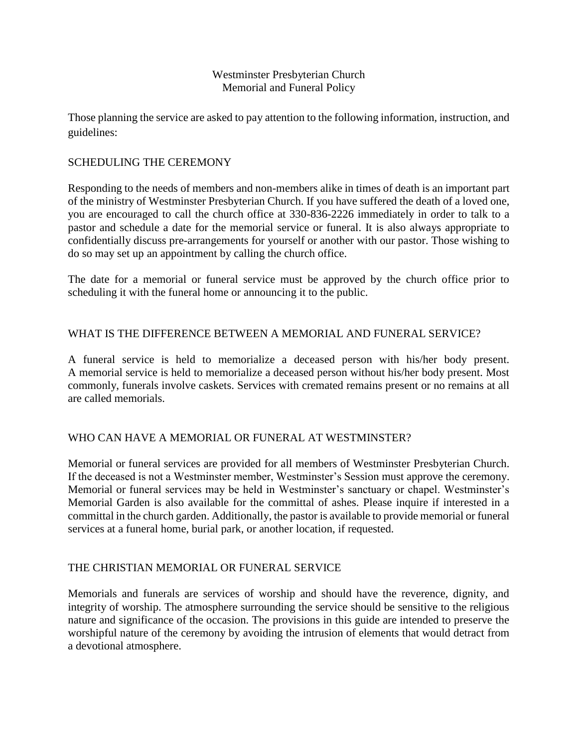## Westminster Presbyterian Church Memorial and Funeral Policy

Those planning the service are asked to pay attention to the following information, instruction, and guidelines:

## SCHEDULING THE CEREMONY

Responding to the needs of members and non-members alike in times of death is an important part of the ministry of Westminster Presbyterian Church. If you have suffered the death of a loved one, you are encouraged to call the church office at 330-836-2226 immediately in order to talk to a pastor and schedule a date for the memorial service or funeral. It is also always appropriate to confidentially discuss pre-arrangements for yourself or another with our pastor. Those wishing to do so may set up an appointment by calling the church office.

The date for a memorial or funeral service must be approved by the church office prior to scheduling it with the funeral home or announcing it to the public.

## WHAT IS THE DIFFERENCE BETWEEN A MEMORIAL AND FUNERAL SERVICE?

A funeral service is held to memorialize a deceased person with his/her body present. A memorial service is held to memorialize a deceased person without his/her body present. Most commonly, funerals involve caskets. Services with cremated remains present or no remains at all are called memorials.

### WHO CAN HAVE A MEMORIAL OR FUNERAL AT WESTMINSTER?

Memorial or funeral services are provided for all members of Westminster Presbyterian Church. If the deceased is not a Westminster member, Westminster's Session must approve the ceremony. Memorial or funeral services may be held in Westminster's sanctuary or chapel. Westminster's Memorial Garden is also available for the committal of ashes. Please inquire if interested in a committal in the church garden. Additionally, the pastor is available to provide memorial or funeral services at a funeral home, burial park, or another location, if requested.

# THE CHRISTIAN MEMORIAL OR FUNERAL SERVICE

Memorials and funerals are services of worship and should have the reverence, dignity, and integrity of worship. The atmosphere surrounding the service should be sensitive to the religious nature and significance of the occasion. The provisions in this guide are intended to preserve the worshipful nature of the ceremony by avoiding the intrusion of elements that would detract from a devotional atmosphere.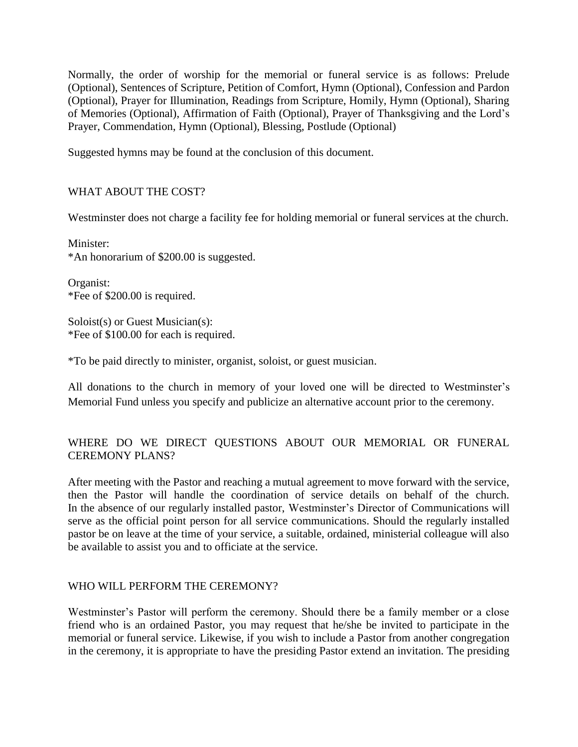Normally, the order of worship for the memorial or funeral service is as follows: Prelude (Optional), Sentences of Scripture, Petition of Comfort, Hymn (Optional), Confession and Pardon (Optional), Prayer for Illumination, Readings from Scripture, Homily, Hymn (Optional), Sharing of Memories (Optional), Affirmation of Faith (Optional), Prayer of Thanksgiving and the Lord's Prayer, Commendation, Hymn (Optional), Blessing, Postlude (Optional)

Suggested hymns may be found at the conclusion of this document.

# WHAT ABOUT THE COST?

Westminster does not charge a facility fee for holding memorial or funeral services at the church.

Minister: \*An honorarium of \$200.00 is suggested.

Organist: \*Fee of \$200.00 is required.

Soloist(s) or Guest Musician(s): \*Fee of \$100.00 for each is required.

\*To be paid directly to minister, organist, soloist, or guest musician.

All donations to the church in memory of your loved one will be directed to Westminster's Memorial Fund unless you specify and publicize an alternative account prior to the ceremony.

# WHERE DO WE DIRECT QUESTIONS ABOUT OUR MEMORIAL OR FUNERAL CEREMONY PLANS?

After meeting with the Pastor and reaching a mutual agreement to move forward with the service, then the Pastor will handle the coordination of service details on behalf of the church. In the absence of our regularly installed pastor, Westminster's Director of Communications will serve as the official point person for all service communications. Should the regularly installed pastor be on leave at the time of your service, a suitable, ordained, ministerial colleague will also be available to assist you and to officiate at the service.

### WHO WILL PERFORM THE CEREMONY?

Westminster's Pastor will perform the ceremony. Should there be a family member or a close friend who is an ordained Pastor, you may request that he/she be invited to participate in the memorial or funeral service. Likewise, if you wish to include a Pastor from another congregation in the ceremony, it is appropriate to have the presiding Pastor extend an invitation. The presiding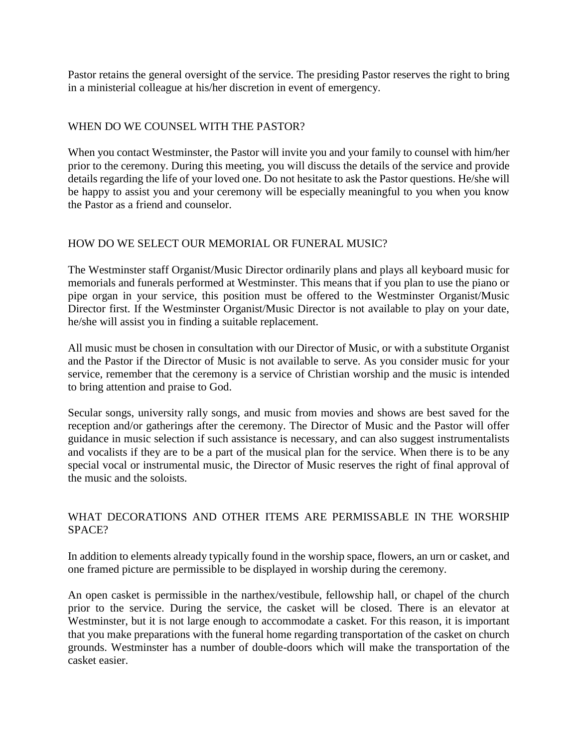Pastor retains the general oversight of the service. The presiding Pastor reserves the right to bring in a ministerial colleague at his/her discretion in event of emergency.

# WHEN DO WE COUNSEL WITH THE PASTOR?

When you contact Westminster, the Pastor will invite you and your family to counsel with him/her prior to the ceremony. During this meeting, you will discuss the details of the service and provide details regarding the life of your loved one. Do not hesitate to ask the Pastor questions. He/she will be happy to assist you and your ceremony will be especially meaningful to you when you know the Pastor as a friend and counselor.

## HOW DO WE SELECT OUR MEMORIAL OR FUNERAL MUSIC?

The Westminster staff Organist/Music Director ordinarily plans and plays all keyboard music for memorials and funerals performed at Westminster. This means that if you plan to use the piano or pipe organ in your service, this position must be offered to the Westminster Organist/Music Director first. If the Westminster Organist/Music Director is not available to play on your date, he/she will assist you in finding a suitable replacement.

All music must be chosen in consultation with our Director of Music, or with a substitute Organist and the Pastor if the Director of Music is not available to serve. As you consider music for your service, remember that the ceremony is a service of Christian worship and the music is intended to bring attention and praise to God.

Secular songs, university rally songs, and music from movies and shows are best saved for the reception and/or gatherings after the ceremony. The Director of Music and the Pastor will offer guidance in music selection if such assistance is necessary, and can also suggest instrumentalists and vocalists if they are to be a part of the musical plan for the service. When there is to be any special vocal or instrumental music, the Director of Music reserves the right of final approval of the music and the soloists.

# WHAT DECORATIONS AND OTHER ITEMS ARE PERMISSABLE IN THE WORSHIP SPACE?

In addition to elements already typically found in the worship space, flowers, an urn or casket, and one framed picture are permissible to be displayed in worship during the ceremony.

An open casket is permissible in the narthex/vestibule, fellowship hall, or chapel of the church prior to the service. During the service, the casket will be closed. There is an elevator at Westminster, but it is not large enough to accommodate a casket. For this reason, it is important that you make preparations with the funeral home regarding transportation of the casket on church grounds. Westminster has a number of double-doors which will make the transportation of the casket easier.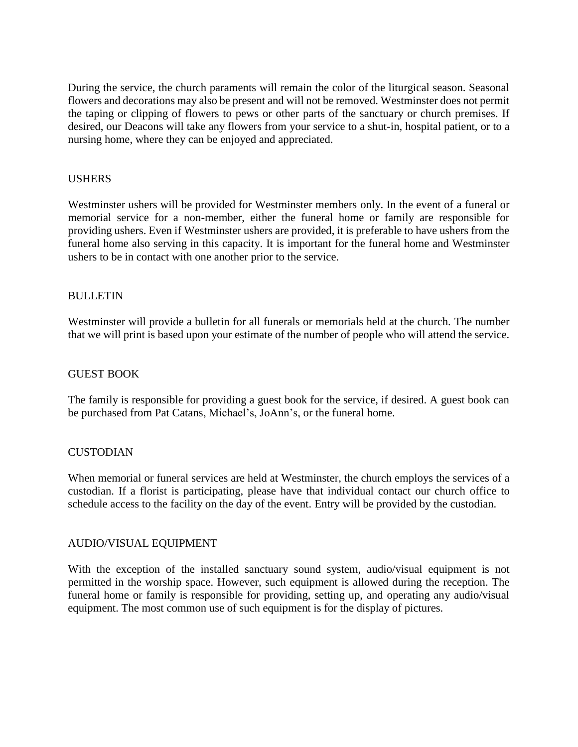During the service, the church paraments will remain the color of the liturgical season. Seasonal flowers and decorations may also be present and will not be removed. Westminster does not permit the taping or clipping of flowers to pews or other parts of the sanctuary or church premises. If desired, our Deacons will take any flowers from your service to a shut-in, hospital patient, or to a nursing home, where they can be enjoyed and appreciated.

## USHERS

Westminster ushers will be provided for Westminster members only. In the event of a funeral or memorial service for a non-member, either the funeral home or family are responsible for providing ushers. Even if Westminster ushers are provided, it is preferable to have ushers from the funeral home also serving in this capacity. It is important for the funeral home and Westminster ushers to be in contact with one another prior to the service.

## BULLETIN

Westminster will provide a bulletin for all funerals or memorials held at the church. The number that we will print is based upon your estimate of the number of people who will attend the service.

### GUEST BOOK

The family is responsible for providing a guest book for the service, if desired. A guest book can be purchased from Pat Catans, Michael's, JoAnn's, or the funeral home.

### **CUSTODIAN**

When memorial or funeral services are held at Westminster, the church employs the services of a custodian. If a florist is participating, please have that individual contact our church office to schedule access to the facility on the day of the event. Entry will be provided by the custodian.

### AUDIO/VISUAL EQUIPMENT

With the exception of the installed sanctuary sound system, audio/visual equipment is not permitted in the worship space. However, such equipment is allowed during the reception. The funeral home or family is responsible for providing, setting up, and operating any audio/visual equipment. The most common use of such equipment is for the display of pictures.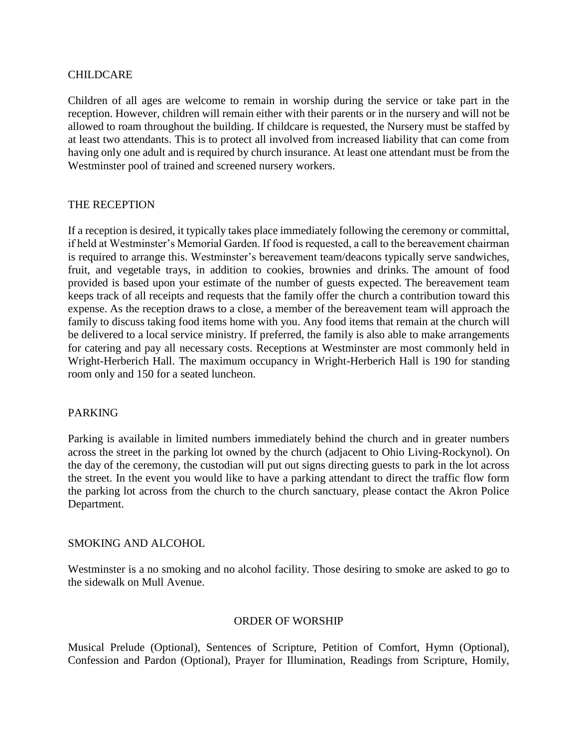### CHILDCARE

Children of all ages are welcome to remain in worship during the service or take part in the reception. However, children will remain either with their parents or in the nursery and will not be allowed to roam throughout the building. If childcare is requested, the Nursery must be staffed by at least two attendants. This is to protect all involved from increased liability that can come from having only one adult and is required by church insurance. At least one attendant must be from the Westminster pool of trained and screened nursery workers.

### THE RECEPTION

If a reception is desired, it typically takes place immediately following the ceremony or committal, if held at Westminster's Memorial Garden. If food is requested, a call to the bereavement chairman is required to arrange this. Westminster's bereavement team/deacons typically serve sandwiches, fruit, and vegetable trays, in addition to cookies, brownies and drinks. The amount of food provided is based upon your estimate of the number of guests expected. The bereavement team keeps track of all receipts and requests that the family offer the church a contribution toward this expense. As the reception draws to a close, a member of the bereavement team will approach the family to discuss taking food items home with you. Any food items that remain at the church will be delivered to a local service ministry. If preferred, the family is also able to make arrangements for catering and pay all necessary costs. Receptions at Westminster are most commonly held in Wright-Herberich Hall. The maximum occupancy in Wright-Herberich Hall is 190 for standing room only and 150 for a seated luncheon.

#### PARKING

Parking is available in limited numbers immediately behind the church and in greater numbers across the street in the parking lot owned by the church (adjacent to Ohio Living-Rockynol). On the day of the ceremony, the custodian will put out signs directing guests to park in the lot across the street. In the event you would like to have a parking attendant to direct the traffic flow form the parking lot across from the church to the church sanctuary, please contact the Akron Police Department.

#### SMOKING AND ALCOHOL

Westminster is a no smoking and no alcohol facility. Those desiring to smoke are asked to go to the sidewalk on Mull Avenue.

#### ORDER OF WORSHIP

Musical Prelude (Optional), Sentences of Scripture, Petition of Comfort, Hymn (Optional), Confession and Pardon (Optional), Prayer for Illumination, Readings from Scripture, Homily,